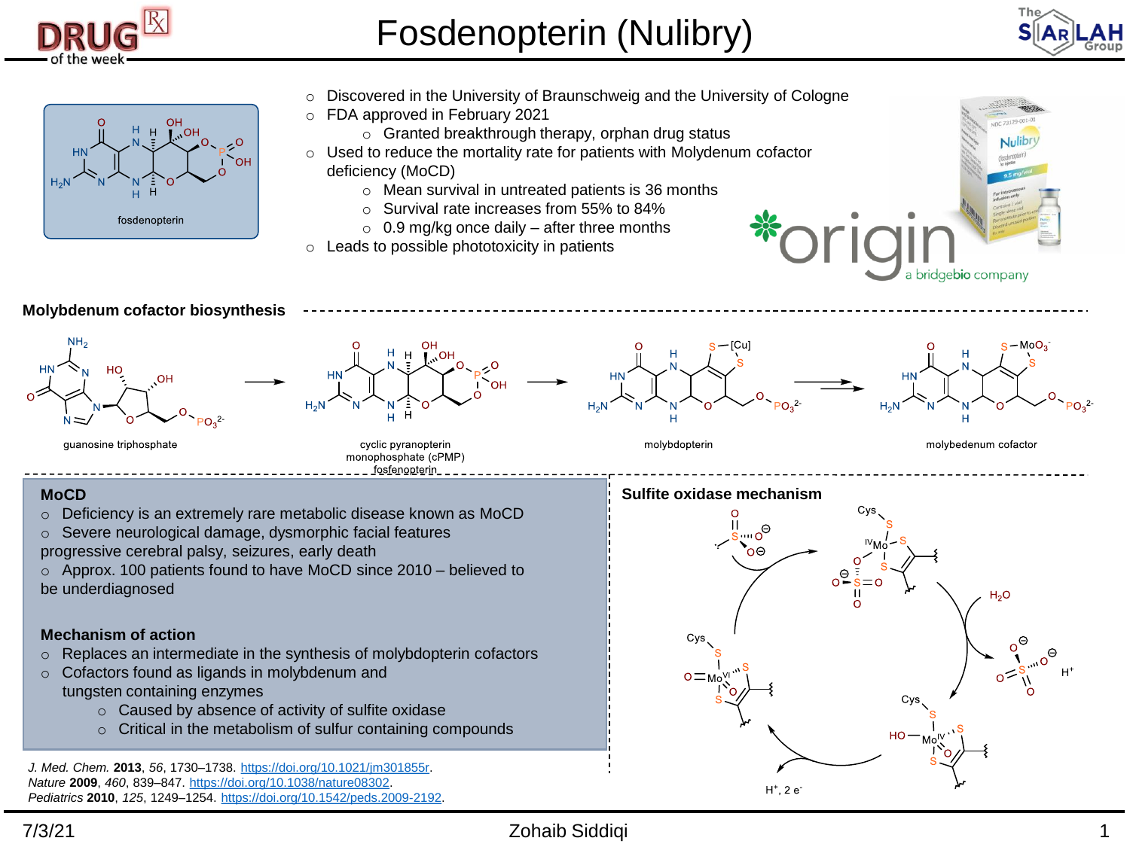